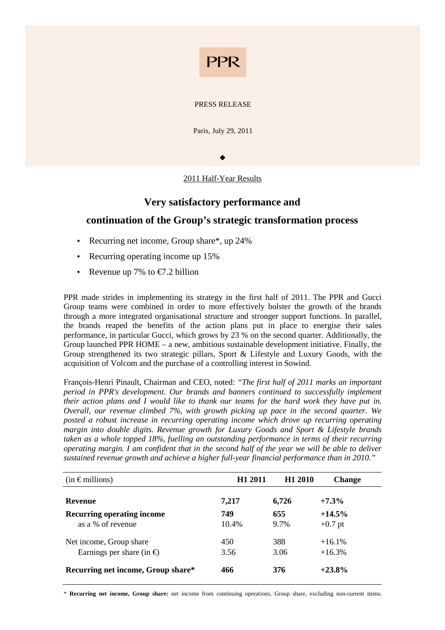

PRESS RELEASE

Paris, July 29, 2011

 $\blacklozenge$ 

### 2011 Half-Year Results

## **Very satisfactory performance and**

## **continuation of the Group's strategic transformation process**

- Recurring net income, Group share\*, up 24%
- Recurring operating income up 15%
- Revenue up 7% to  $\epsilon$ 7.2 billion

PPR made strides in implementing its strategy in the first half of 2011. The PPR and Gucci Group teams were combined in order to more effectively bolster the growth of the brands through a more integrated organisational structure and stronger support functions. In parallel, the brands reaped the benefits of the action plans put in place to energise their sales performance, in particular Gucci, which grows by 23 % on the second quarter. Additionally, the Group launched PPR HOME – a new, ambitious sustainable development initiative. Finally, the Group strengthened its two strategic pillars, Sport & Lifestyle and Luxury Goods, with the acquisition of Volcom and the purchase of a controlling interest in Sowind.

François-Henri Pinault, Chairman and CEO, noted: *"The first half of 2011 marks an important period in PPR's development. Our brands and banners continued to successfully implement their action plans and I would like to thank our teams for the hard work they have put in. Overall, our revenue climbed 7%, with growth picking up pace in the second quarter. We posted a robust increase in recurring operating income which drove up recurring operating margin into double digits. Revenue growth for Luxury Goods and Sport & Lifestyle brands taken as a whole topped 18%, fuelling an outstanding performance in terms of their recurring operating margin. I am confident that in the second half of the year we will be able to deliver sustained revenue growth and achieve a higher full-year financial performance than in 2010."*

| $(in \in$ millions)                 | H <sub>1</sub> 2011 | H <sub>1</sub> 2010 | <b>Change</b> |
|-------------------------------------|---------------------|---------------------|---------------|
| Revenue                             | 7,217               | 6,726               | $+7.3\%$      |
| <b>Recurring operating income</b>   | 749                 | 655                 | $+14.5\%$     |
| as a % of revenue                   | 10.4%               | 9.7%                | $+0.7$ pt     |
| Net income, Group share             | 450                 | 388                 | $+16.1%$      |
| Earnings per share (in $\epsilon$ ) | 3.56                | 3.06                | $+16.3%$      |
| Recurring net income, Group share*  | 466                 | 376                 | $+23.8%$      |

\* **Recurring net income, Group share:** net income from continuing operations, Group share, excluding non-current items.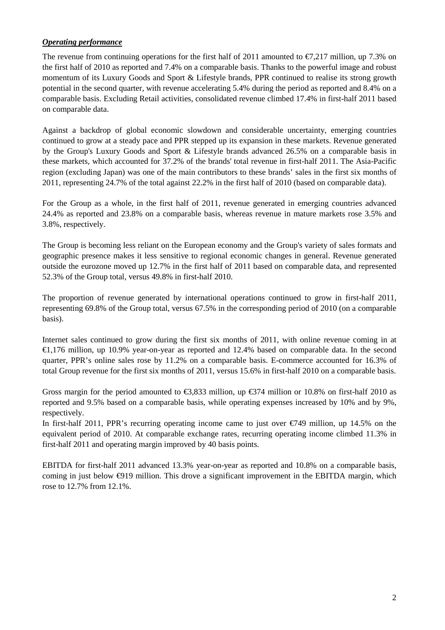### *Operating performance*

The revenue from continuing operations for the first half of 2011 amounted to  $\epsilon$ 7,217 million, up 7.3% on the first half of 2010 as reported and 7.4% on a comparable basis. Thanks to the powerful image and robust momentum of its Luxury Goods and Sport & Lifestyle brands, PPR continued to realise its strong growth potential in the second quarter, with revenue accelerating 5.4% during the period as reported and 8.4% on a comparable basis. Excluding Retail activities, consolidated revenue climbed 17.4% in first-half 2011 based on comparable data.

Against a backdrop of global economic slowdown and considerable uncertainty, emerging countries continued to grow at a steady pace and PPR stepped up its expansion in these markets. Revenue generated by the Group's Luxury Goods and Sport & Lifestyle brands advanced 26.5% on a comparable basis in these markets, which accounted for 37.2% of the brands' total revenue in first-half 2011. The Asia-Pacific region (excluding Japan) was one of the main contributors to these brands' sales in the first six months of 2011, representing 24.7% of the total against 22.2% in the first half of 2010 (based on comparable data).

For the Group as a whole, in the first half of 2011, revenue generated in emerging countries advanced 24.4% as reported and 23.8% on a comparable basis, whereas revenue in mature markets rose 3.5% and 3.8%, respectively.

The Group is becoming less reliant on the European economy and the Group's variety of sales formats and geographic presence makes it less sensitive to regional economic changes in general. Revenue generated outside the eurozone moved up 12.7% in the first half of 2011 based on comparable data, and represented 52.3% of the Group total, versus 49.8% in first-half 2010.

The proportion of revenue generated by international operations continued to grow in first-half 2011, representing 69.8% of the Group total, versus 67.5% in the corresponding period of 2010 (on a comparable basis).

Internet sales continued to grow during the first six months of 2011, with online revenue coming in at  $\epsilon$ 1,176 million, up 10.9% year-on-year as reported and 12.4% based on comparable data. In the second quarter, PPR's online sales rose by 11.2% on a comparable basis. E-commerce accounted for 16.3% of total Group revenue for the first six months of 2011, versus 15.6% in first-half 2010 on a comparable basis.

Gross margin for the period amounted to  $\epsilon$ 3,833 million, up  $\epsilon$ 374 million or 10.8% on first-half 2010 as reported and 9.5% based on a comparable basis, while operating expenses increased by 10% and by 9%, respectively.

In first-half 2011, PPR's recurring operating income came to just over  $\epsilon$ 749 million, up 14.5% on the equivalent period of 2010. At comparable exchange rates, recurring operating income climbed 11.3% in first-half 2011 and operating margin improved by 40 basis points.

EBITDA for first-half 2011 advanced 13.3% year-on-year as reported and 10.8% on a comparable basis, coming in just below €919 million. This drove a significant improvement in the EBITDA margin, which rose to 12.7% from 12.1%.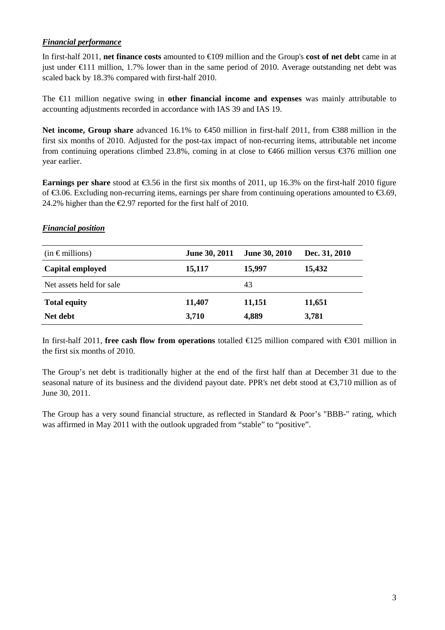### *Financial performance*

In first-half 2011, **net finance costs** amounted to €109 million and the Group's **cost of net debt** came in at just under €111 million, 1.7% lower than in the same period of 2010. Average outstanding net debt was scaled back by 18.3% compared with first-half 2010.

The €11 million negative swing in **other financial income and expenses** was mainly attributable to accounting adjustments recorded in accordance with IAS 39 and IAS 19.

**Net income, Group share** advanced 16.1% to €450 million in first-half 2011, from €388 million in the first six months of 2010. Adjusted for the post-tax impact of non-recurring items, attributable net income from continuing operations climbed 23.8%, coming in at close to  $\epsilon$ 466 million versus  $\epsilon$ 376 million one year earlier.

**Earnings per share** stood at  $\epsilon$ 3.56 in the first six months of 2011, up 16.3% on the first-half 2010 figure of  $\epsilon$ 3.06. Excluding non-recurring items, earnings per share from continuing operations amounted to  $\epsilon$ 369, 24.2% higher than the  $\epsilon$ 2.97 reported for the first half of 2010.

| $(in \in$ millions)      | <b>June 30, 2011</b> | <b>June 30, 2010</b> | Dec. 31, 2010 |
|--------------------------|----------------------|----------------------|---------------|
| Capital employed         | 15,117               | 15,997               | 15,432        |
| Net assets held for sale |                      | 43                   |               |
| <b>Total equity</b>      | 11,407               | 11,151               | 11,651        |
| Net debt                 | 3,710                | 4,889                | 3,781         |

### *Financial position*

In first-half 2011, **free cash flow from operations** totalled €125 million compared with €301 million in the first six months of 2010.

The Group's net debt is traditionally higher at the end of the first half than at December 31 due to the seasonal nature of its business and the dividend payout date. PPR's net debt stood at €3,710 million as of June 30, 2011.

The Group has a very sound financial structure, as reflected in Standard & Poor's "BBB-" rating, which was affirmed in May 2011 with the outlook upgraded from "stable" to "positive".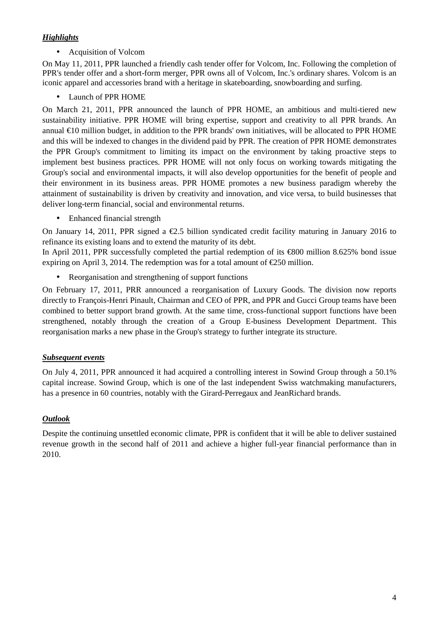## *Highlights*

• Acquisition of Volcom

On May 11, 2011, PPR launched a friendly cash tender offer for Volcom, Inc. Following the completion of PPR's tender offer and a short-form merger, PPR owns all of Volcom, Inc.'s ordinary shares. Volcom is an iconic apparel and accessories brand with a heritage in skateboarding, snowboarding and surfing.

• Launch of PPR HOME

On March 21, 2011, PPR announced the launch of PPR HOME, an ambitious and multi-tiered new sustainability initiative. PPR HOME will bring expertise, support and creativity to all PPR brands. An annual €10 million budget, in addition to the PPR brands' own initiatives, will be allocated to PPR HOME and this will be indexed to changes in the dividend paid by PPR. The creation of PPR HOME demonstrates the PPR Group's commitment to limiting its impact on the environment by taking proactive steps to implement best business practices. PPR HOME will not only focus on working towards mitigating the Group's social and environmental impacts, it will also develop opportunities for the benefit of people and their environment in its business areas. PPR HOME promotes a new business paradigm whereby the attainment of sustainability is driven by creativity and innovation, and vice versa, to build businesses that deliver long-term financial, social and environmental returns.

• Enhanced financial strength

On January 14, 2011, PPR signed a  $\epsilon$ 2.5 billion syndicated credit facility maturing in January 2016 to refinance its existing loans and to extend the maturity of its debt.

In April 2011, PPR successfully completed the partial redemption of its €800 million 8.625% bond issue expiring on April 3, 2014. The redemption was for a total amount of  $\epsilon$ 250 million.

• Reorganisation and strengthening of support functions

On February 17, 2011, PRR announced a reorganisation of Luxury Goods. The division now reports directly to François-Henri Pinault, Chairman and CEO of PPR, and PPR and Gucci Group teams have been combined to better support brand growth. At the same time, cross-functional support functions have been strengthened, notably through the creation of a Group E-business Development Department. This reorganisation marks a new phase in the Group's strategy to further integrate its structure.

## *Subsequent events*

On July 4, 2011, PPR announced it had acquired a controlling interest in Sowind Group through a 50.1% capital increase. Sowind Group, which is one of the last independent Swiss watchmaking manufacturers, has a presence in 60 countries, notably with the Girard-Perregaux and JeanRichard brands.

## *Outlook*

Despite the continuing unsettled economic climate, PPR is confident that it will be able to deliver sustained revenue growth in the second half of 2011 and achieve a higher full-year financial performance than in 2010.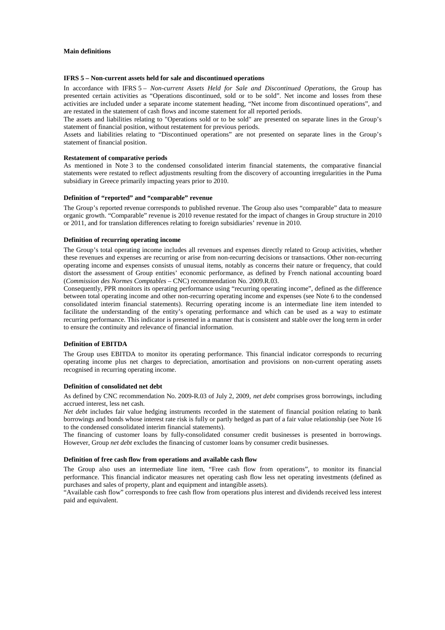#### **Main definitions**

#### **IFRS 5 – Non-current assets held for sale and discontinued operations**

In accordance with IFRS 5 – *Non-current Assets Held for Sale and Discontinued Operations*, the Group has presented certain activities as "Operations discontinued, sold or to be sold". Net income and losses from these activities are included under a separate income statement heading, "Net income from discontinued operations", and are restated in the statement of cash flows and income statement for all reported periods.

The assets and liabilities relating to "Operations sold or to be sold" are presented on separate lines in the Group's statement of financial position, without restatement for previous periods.

Assets and liabilities relating to "Discontinued operations" are not presented on separate lines in the Group's statement of financial position.

#### **Restatement of comparative periods**

As mentioned in Note 3 to the condensed consolidated interim financial statements, the comparative financial statements were restated to reflect adjustments resulting from the discovery of accounting irregularities in the Puma subsidiary in Greece primarily impacting years prior to 2010.

#### **Definition of "reported" and "comparable" revenue**

The Group's reported revenue corresponds to published revenue. The Group also uses "comparable" data to measure organic growth. "Comparable" revenue is 2010 revenue restated for the impact of changes in Group structure in 2010 or 2011, and for translation differences relating to foreign subsidiaries' revenue in 2010.

#### **Definition of recurring operating income**

The Group's total operating income includes all revenues and expenses directly related to Group activities, whether these revenues and expenses are recurring or arise from non-recurring decisions or transactions. Other non-recurring operating income and expenses consists of unusual items, notably as concerns their nature or frequency, that could distort the assessment of Group entities' economic performance, as defined by French national accounting board (*Commission des Normes Comptables* – CNC) recommendation No. 2009.R.03.

Consequently, PPR monitors its operating performance using "recurring operating income", defined as the difference between total operating income and other non-recurring operating income and expenses (see Note 6 to the condensed consolidated interim financial statements). Recurring operating income is an intermediate line item intended to facilitate the understanding of the entity's operating performance and which can be used as a way to estimate recurring performance. This indicator is presented in a manner that is consistent and stable over the long term in order to ensure the continuity and relevance of financial information.

#### **Definition of EBITDA**

The Group uses EBITDA to monitor its operating performance. This financial indicator corresponds to recurring operating income plus net charges to depreciation, amortisation and provisions on non-current operating assets recognised in recurring operating income.

#### **Definition of consolidated net debt**

As defined by CNC recommendation No. 2009-R.03 of July 2, 2009, *net debt* comprises gross borrowings, including accrued interest, less net cash.

*Net debt* includes fair value hedging instruments recorded in the statement of financial position relating to bank borrowings and bonds whose interest rate risk is fully or partly hedged as part of a fair value relationship (see Note 16 to the condensed consolidated interim financial statements).

The financing of customer loans by fully-consolidated consumer credit businesses is presented in borrowings. However, Group *net debt* excludes the financing of customer loans by consumer credit businesses.

#### **Definition of free cash flow from operations and available cash flow**

The Group also uses an intermediate line item, "Free cash flow from operations", to monitor its financial performance. This financial indicator measures net operating cash flow less net operating investments (defined as purchases and sales of property, plant and equipment and intangible assets).

"Available cash flow" corresponds to free cash flow from operations plus interest and dividends received less interest paid and equivalent.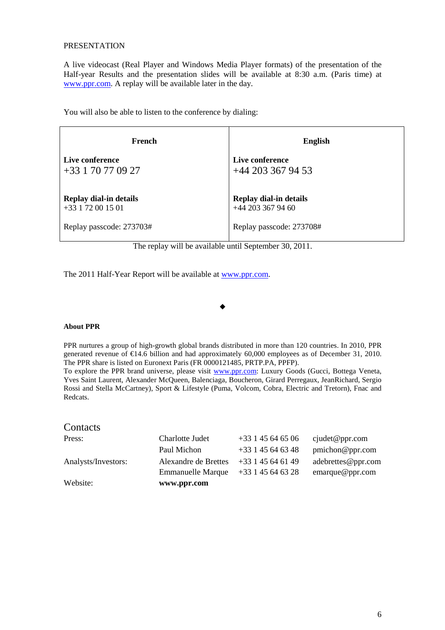#### PRESENTATION

A live videocast (Real Player and Windows Media Player formats) of the presentation of the Half-year Results and the presentation slides will be available at 8:30 a.m. (Paris time) at www.ppr.com. A replay will be available later in the day.

You will also be able to listen to the conference by dialing:

| French                   | <b>English</b>                |
|--------------------------|-------------------------------|
| Live conference          | Live conference               |
| +33 1 70 77 09 27        | $+44$ 203 367 94 53           |
| Replay dial-in details   | <b>Replay dial-in details</b> |
| +33 1 72 00 15 01        | $+44$ 203 367 94 60           |
| Replay passcode: 273703# | Replay passcode: 273708#      |

The replay will be available until September 30, 2011.

The 2011 Half-Year Report will be available at www.ppr.com.

#### $\blacklozenge$

#### **About PPR**

PPR nurtures a group of high-growth global brands distributed in more than 120 countries. In 2010, PPR generated revenue of €14.6 billion and had approximately 60,000 employees as of December 31, 2010. The PPR share is listed on Euronext Paris (FR 0000121485, PRTP.PA, PPFP).

To explore the PPR brand universe, please visit www.ppr.com: Luxury Goods (Gucci, Bottega Veneta, Yves Saint Laurent, Alexander McQueen, Balenciaga, Boucheron, Girard Perregaux, JeanRichard, Sergio Rossi and Stella McCartney), Sport & Lifestyle (Puma, Volcom, Cobra, Electric and Tretorn), Fnac and Redcats.

#### **Contacts**

| Website:            | www.ppr.com              |                     |                    |
|---------------------|--------------------------|---------------------|--------------------|
|                     | <b>Emmanuelle Marque</b> | $+33145646328$      | emarque@ppr.com    |
| Analysts/Investors: | Alexandre de Brettes     | $+33145646149$      | adebrettes@ppr.com |
|                     | Paul Michon              | $+33$ 1 45 64 63 48 | pmichon@ppr.com    |
| Press:              | Charlotte Judet          | $+33145646506$      | cjudet@ppr.com     |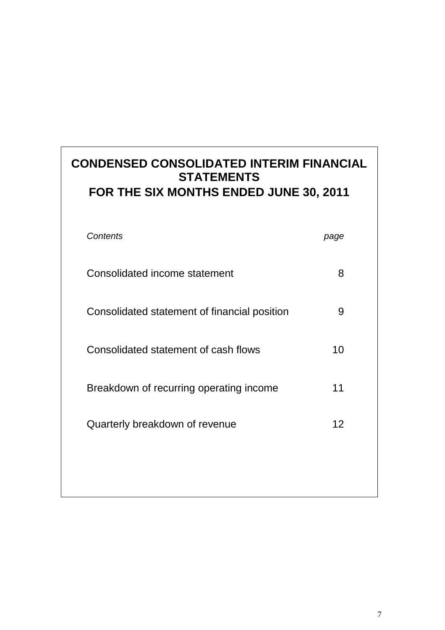## **CONDENSED CONSOLIDATED INTERIM FINANCIAL STATEMENTS FOR THE SIX MONTHS ENDED JUNE 30, 2011**

| Contents                                     | page |
|----------------------------------------------|------|
| Consolidated income statement                | 8    |
| Consolidated statement of financial position | 9    |
| Consolidated statement of cash flows         | 10   |
| Breakdown of recurring operating income      | 11   |
| Quarterly breakdown of revenue               | 12   |
|                                              |      |
|                                              |      |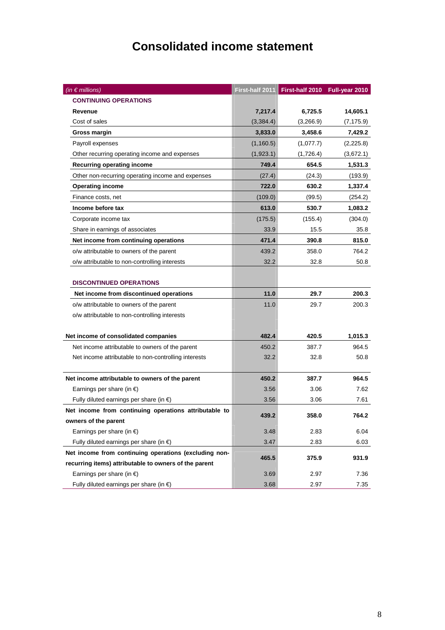## **Consolidated income statement**

| (in $\epsilon$ millions)                              | First-half 2011 | First-half 2010 | Full-year 2010 |
|-------------------------------------------------------|-----------------|-----------------|----------------|
| <b>CONTINUING OPERATIONS</b>                          |                 |                 |                |
| Revenue                                               | 7,217.4         | 6,725.5         | 14,605.1       |
| Cost of sales                                         | (3,384.4)       | (3,266.9)       | (7, 175.9)     |
| Gross margin                                          | 3,833.0         | 3,458.6         | 7,429.2        |
| Payroll expenses                                      | (1, 160.5)      | (1,077.7)       | (2, 225.8)     |
| Other recurring operating income and expenses         | (1,923.1)       | (1,726.4)       | (3,672.1)      |
| Recurring operating income                            | 749.4           | 654.5           | 1,531.3        |
| Other non-recurring operating income and expenses     | (27.4)          | (24.3)          | (193.9)        |
| <b>Operating income</b>                               | 722.0           | 630.2           | 1,337.4        |
| Finance costs, net                                    | (109.0)         | (99.5)          | (254.2)        |
| Income before tax                                     | 613.0           | 530.7           | 1,083.2        |
| Corporate income tax                                  | (175.5)         | (155.4)         | (304.0)        |
| Share in earnings of associates                       | 33.9            | 15.5            | 35.8           |
| Net income from continuing operations                 | 471.4           | 390.8           | 815.0          |
| o/w attributable to owners of the parent              | 439.2           | 358.0           | 764.2          |
| o/w attributable to non-controlling interests         | 32.2            | 32.8            | 50.8           |
|                                                       |                 |                 |                |
| <b>DISCONTINUED OPERATIONS</b>                        |                 |                 |                |
| Net income from discontinued operations               | 11.0            | 29.7            | 200.3          |
| o/w attributable to owners of the parent              | 11.0            | 29.7            | 200.3          |
| o/w attributable to non-controlling interests         |                 |                 |                |
|                                                       |                 |                 |                |
| Net income of consolidated companies                  | 482.4           | 420.5           | 1,015.3        |
| Net income attributable to owners of the parent       | 450.2           | 387.7           | 964.5          |
| Net income attributable to non-controlling interests  | 32.2            | 32.8            | 50.8           |
|                                                       |                 |                 |                |
| Net income attributable to owners of the parent       | 450.2           | 387.7           | 964.5          |
| Earnings per share (in $\epsilon$ )                   | 3.56            | 3.06            | 7.62           |
| Fully diluted earnings per share (in $\epsilon$ )     | 3.56            | 3.06            | 7.61           |
| Net income from continuing operations attributable to | 439.2           | 358.0           | 764.2          |
| owners of the parent                                  |                 |                 |                |
| Earnings per share (in $\epsilon$ )                   | 3.48            | 2.83            | 6.04           |
| Fully diluted earnings per share (in $\epsilon$ )     | 3.47            | 2.83            | 6.03           |
| Net income from continuing operations (excluding non- | 465.5           | 375.9           | 931.9          |
| recurring items) attributable to owners of the parent |                 |                 |                |
| Earnings per share (in $\epsilon$ )                   | 3.69            | 2.97            | 7.36           |
| Fully diluted earnings per share (in $\epsilon$ )     | 3.68            | 2.97            | 7.35           |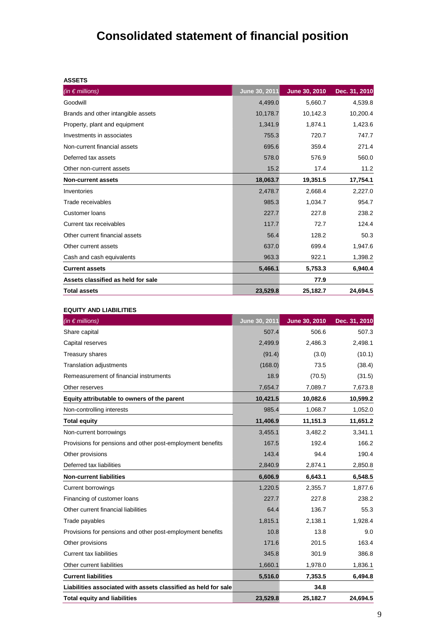## **Consolidated statement of financial position**

#### **ASSETS**

| (in $\epsilon$ millions)           | June 30, 2011 | June 30, 2010 | Dec. 31, 2010 |
|------------------------------------|---------------|---------------|---------------|
| Goodwill                           | 4,499.0       | 5,660.7       | 4,539.8       |
| Brands and other intangible assets | 10,178.7      | 10,142.3      | 10,200.4      |
| Property, plant and equipment      | 1,341.9       | 1,874.1       | 1,423.6       |
| Investments in associates          | 755.3         | 720.7         | 747.7         |
| Non-current financial assets       | 695.6         | 359.4         | 271.4         |
| Deferred tax assets                | 578.0         | 576.9         | 560.0         |
| Other non-current assets           | 15.2          | 17.4          | 11.2          |
| <b>Non-current assets</b>          | 18,063.7      | 19,351.5      | 17,754.1      |
| Inventories                        | 2,478.7       | 2,668.4       | 2,227.0       |
| Trade receivables                  | 985.3         | 1,034.7       | 954.7         |
| Customer loans                     | 227.7         | 227.8         | 238.2         |
| Current tax receivables            | 117.7         | 72.7          | 124.4         |
| Other current financial assets     | 56.4          | 128.2         | 50.3          |
| Other current assets               | 637.0         | 699.4         | 1,947.6       |
| Cash and cash equivalents          | 963.3         | 922.1         | 1,398.2       |
| <b>Current assets</b>              | 5,466.1       | 5,753.3       | 6,940.4       |
| Assets classified as held for sale |               | 77.9          |               |
| <b>Total assets</b>                | 23,529.8      | 25,182.7      | 24,694.5      |

#### **EQUITY AND LIABILITIES**

| (in $\epsilon$ millions)                                       | June 30, 2011 | June 30, 2010 | Dec. 31, 2010 |
|----------------------------------------------------------------|---------------|---------------|---------------|
| Share capital                                                  | 507.4         | 506.6         | 507.3         |
| Capital reserves                                               | 2,499.9       | 2,486.3       | 2,498.1       |
| Treasury shares                                                | (91.4)        | (3.0)         | (10.1)        |
| <b>Translation adjustments</b>                                 | (168.0)       | 73.5          | (38.4)        |
| Remeasurement of financial instruments                         | 18.9          | (70.5)        | (31.5)        |
| Other reserves                                                 | 7,654.7       | 7,089.7       | 7,673.8       |
| Equity attributable to owners of the parent                    | 10,421.5      | 10,082.6      | 10,599.2      |
| Non-controlling interests                                      | 985.4         | 1,068.7       | 1,052.0       |
| <b>Total equity</b>                                            | 11,406.9      | 11,151.3      | 11,651.2      |
| Non-current borrowings                                         | 3,455.1       | 3,482.2       | 3,341.1       |
| Provisions for pensions and other post-employment benefits     | 167.5         | 192.4         | 166.2         |
| Other provisions                                               | 143.4         | 94.4          | 190.4         |
| Deferred tax liabilities                                       | 2,840.9       | 2,874.1       | 2,850.8       |
| <b>Non-current liabilities</b>                                 | 6,606.9       | 6,643.1       | 6,548.5       |
| <b>Current borrowings</b>                                      | 1,220.5       | 2,355.7       | 1,877.6       |
| Financing of customer loans                                    | 227.7         | 227.8         | 238.2         |
| Other current financial liabilities                            | 64.4          | 136.7         | 55.3          |
| Trade payables                                                 | 1,815.1       | 2,138.1       | 1,928.4       |
| Provisions for pensions and other post-employment benefits     | 10.8          | 13.8          | 9.0           |
| Other provisions                                               | 171.6         | 201.5         | 163.4         |
| <b>Current tax liabilities</b>                                 | 345.8         | 301.9         | 386.8         |
| Other current liabilities                                      | 1,660.1       | 1,978.0       | 1,836.1       |
| <b>Current liabilities</b>                                     | 5,516.0       | 7,353.5       | 6,494.8       |
| Liabilities associated with assets classified as held for sale |               | 34.8          |               |
| <b>Total equity and liabilities</b>                            | 23,529.8      | 25,182.7      | 24,694.5      |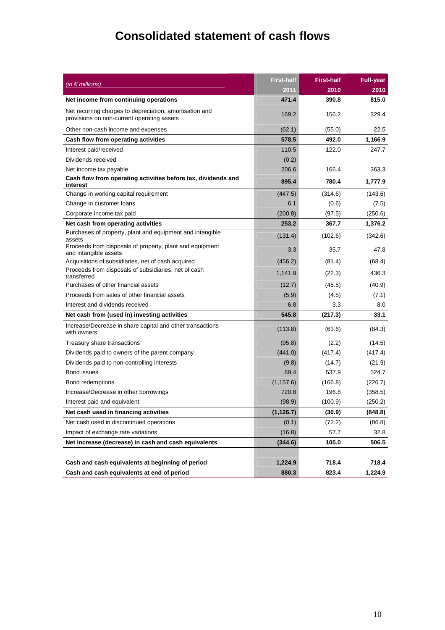## **Consolidated statement of cash flows**

| (in $\epsilon$ millions)                                                                              | <b>First-half</b> | <b>First-half</b> | <b>Full-year</b> |
|-------------------------------------------------------------------------------------------------------|-------------------|-------------------|------------------|
|                                                                                                       | 2011              | 2010              | 2010             |
| Net income from continuing operations                                                                 | 471.4             | 390.8             | 815.0            |
| Net recurring charges to depreciation, amortisation and<br>provisions on non-current operating assets | 169.2             | 156.2             | 329.4            |
| Other non-cash income and expenses                                                                    | (62.1)            | (55.0)            | 22.5             |
| Cash flow from operating activities                                                                   | 578.5             | 492.0             | 1,166.9          |
| Interest paid/received                                                                                | 110.5             | 122.0             | 247.7            |
| Dividends received                                                                                    | (0.2)             |                   |                  |
| Net income tax payable                                                                                | 206.6             | 166.4             | 363.3            |
| Cash flow from operating activities before tax, dividends and<br>interest                             | 895.4             | 780.4             | 1,777.9          |
| Change in working capital requirement                                                                 | (447.5)           | (314.6)           | (143.6)          |
| Change in customer loans                                                                              | 6.1               | (0.6)             | (7.5)            |
| Corporate income tax paid                                                                             | (200.8)           | (97.5)            | (250.6)          |
| Net cash from operating activities                                                                    | 253.2             | 367.7             | 1,376.2          |
| Purchases of property, plant and equipment and intangible                                             | (131.4)           | (102.6)           | (342.6)          |
| assets<br>Proceeds from disposals of property, plant and equipment<br>and intangible assets           | 3.3               | 35.7              | 47.8             |
| Acquisitions of subsidiaries, net of cash acquired                                                    | (456.2)           | (81.4)            | (68.4)           |
| Proceeds from disposals of subsidiaries, net of cash<br>transferred                                   | 1.141.9           | (22.3)            | 436.3            |
| Purchases of other financial assets                                                                   | (12.7)            | (45.5)            | (40.9)           |
| Proceeds from sales of other financial assets                                                         | (5.9)             | (4.5)             | (7.1)            |
| Interest and dividends received                                                                       | 6.8               | 3.3               | 8.0              |
| Net cash from (used in) investing activities                                                          | 545.8             | (217.3)           | 33.1             |
| Increase/Decrease in share capital and other transactions<br>with owners                              | (113.8)           | (63.6)            | (84.3)           |
| Treasury share transactions                                                                           | (95.8)            | (2.2)             | (14.5)           |
| Dividends paid to owners of the parent company                                                        | (441.0)           | (417.4)           | (417.4)          |
| Dividends paid to non-controlling interests                                                           | (9.8)             | (14.7)            | (21.9)           |
| Bond issues                                                                                           | 69.4              | 537.9             | 524.7            |
| Bond redemptions                                                                                      | (1, 157.6)        | (166.8)           | (226.7)          |
| Increase/Decrease in other borrowings                                                                 | 720.8             | 196.8             | (358.5)          |
| Interest paid and equivalent                                                                          | (98.9)            | (100.9)           | (250.2)          |
| Net cash used in financing activities                                                                 | (1, 126.7)        | (30.9)            | (848.8)          |
| Net cash used in discontinued operations                                                              | (0.1)             | (72.2)            | (86.8)           |
| Impact of exchange rate variations                                                                    | (16.8)            | 57.7              | 32.8             |
| Net increase (decrease) in cash and cash equivalents                                                  | (344.6)           | 105.0             | 506.5            |
|                                                                                                       |                   |                   |                  |
| Cash and cash equivalents at beginning of period                                                      | 1,224.9           | 718.4             | 718.4            |
| Cash and cash equivalents at end of period                                                            | 880.3             | 823.4             | 1,224.9          |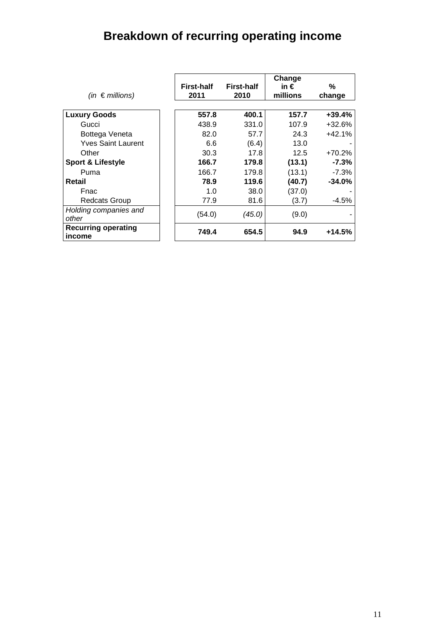# **Breakdown of recurring operating income**

| (in $\epsilon$ millions)             | First-half<br>2011 | <b>First-half</b><br>2010 | Change<br>in €<br>millions | %<br>change |
|--------------------------------------|--------------------|---------------------------|----------------------------|-------------|
|                                      |                    |                           |                            |             |
| <b>Luxury Goods</b>                  | 557.8              | 400.1                     | 157.7                      | $+39.4%$    |
| Gucci                                | 438.9              | 331.0                     | 107.9                      | $+32.6%$    |
| Bottega Veneta                       | 82.0               | 57.7                      | 24.3                       | $+42.1%$    |
| <b>Yves Saint Laurent</b>            | 6.6                | (6.4)                     | 13.0                       |             |
| Other                                | 30.3               | 17.8                      | 12.5                       | $+70.2%$    |
| <b>Sport &amp; Lifestyle</b>         | 166.7              | 179.8                     | (13.1)                     | $-7.3%$     |
| Puma                                 | 166.7              | 179.8                     | (13.1)                     | $-7.3%$     |
| Retail                               | 78.9               | 119.6                     | (40.7)                     | $-34.0%$    |
| Fnac                                 | 1.0                | 38.0                      | (37.0)                     |             |
| <b>Redcats Group</b>                 | 77.9               | 81.6                      | (3.7)                      | $-4.5%$     |
| Holding companies and<br>other       | (54.0)             | (45.0)                    | (9.0)                      |             |
| <b>Recurring operating</b><br>income | 749.4              | 654.5                     | 94.9                       | $+14.5%$    |